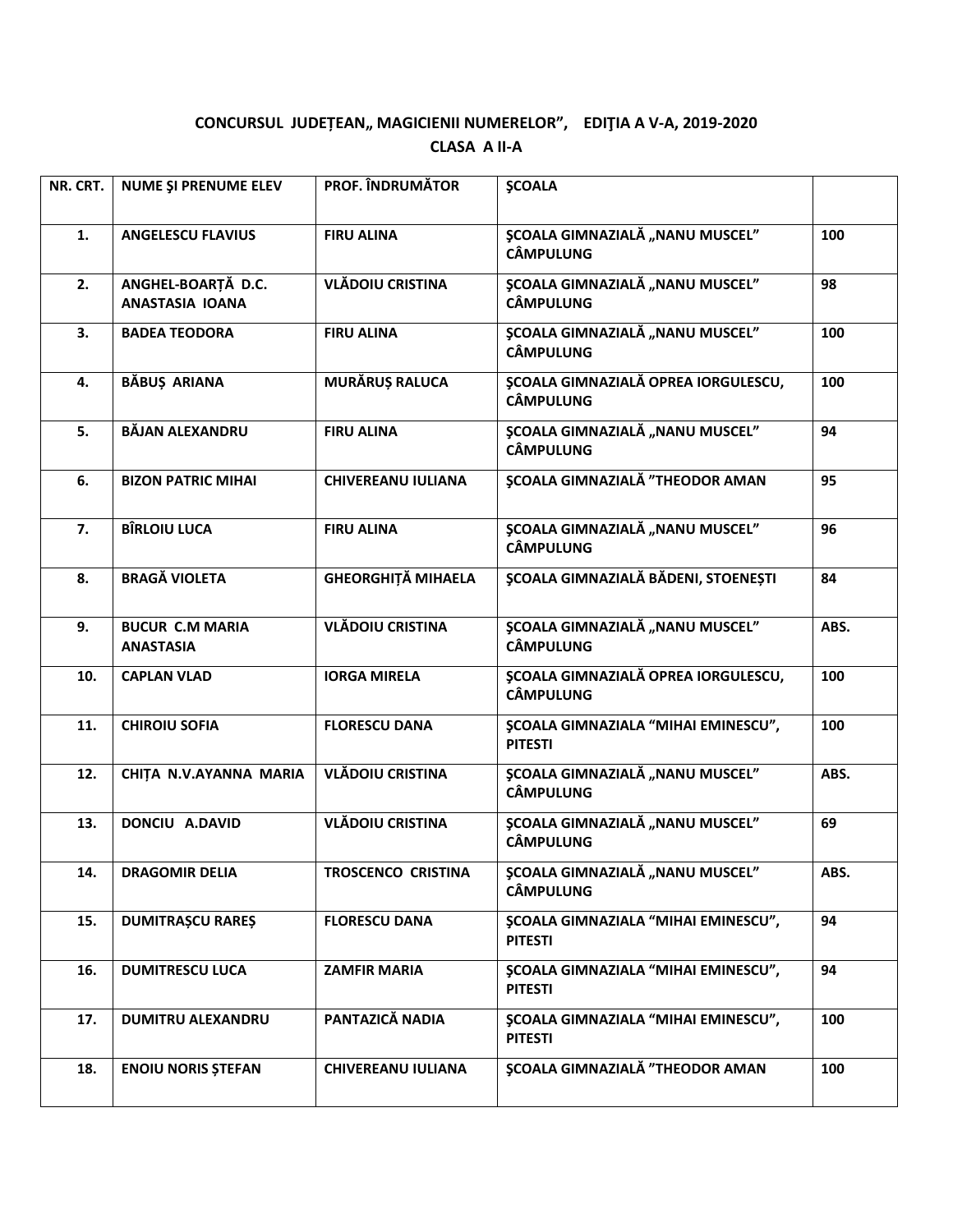## CONCURSUL JUDEȚEAN,, MAGICIENII NUMERELOR", EDIȚIA A V-A, 2019-2020 **CLASA A II-A**

| 100  |
|------|
|      |
| 98   |
| 100  |
| 100  |
| 94   |
| 95   |
| 96   |
| 84   |
| ABS. |
| 100  |
| 100  |
| ABS. |
| 69   |
| ABS. |
| 94   |
| 94   |
| 100  |
| 100  |
|      |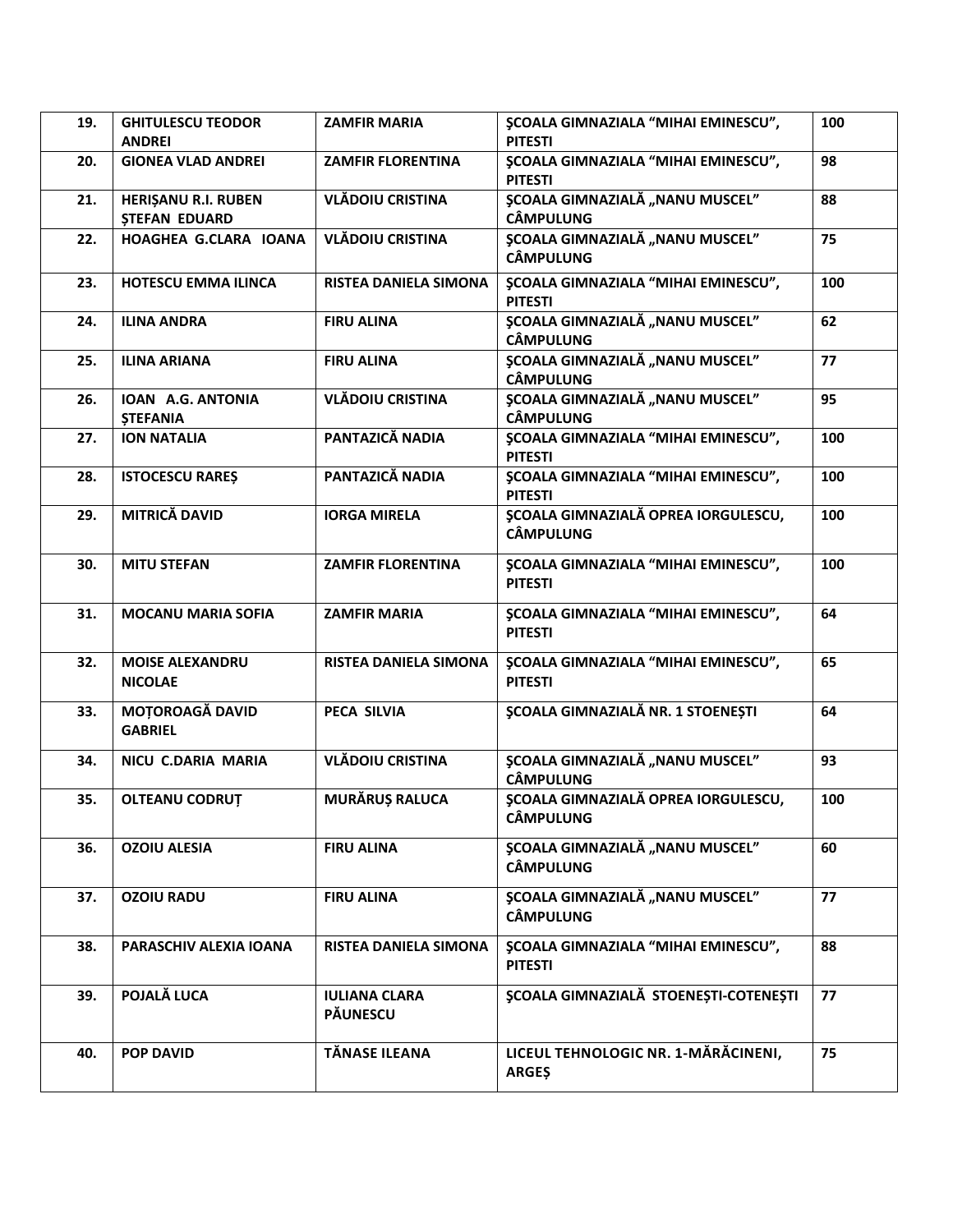| 19. | <b>GHITULESCU TEODOR</b>                    | <b>ZAMFIR MARIA</b>              | <b>\$COALA GIMNAZIALA "MIHAI EMINESCU",</b>                    | 100 |
|-----|---------------------------------------------|----------------------------------|----------------------------------------------------------------|-----|
|     | <b>ANDREI</b>                               |                                  | <b>PITESTI</b>                                                 |     |
| 20. | <b>GIONEA VLAD ANDREI</b>                   | <b>ZAMFIR FLORENTINA</b>         | <b>ŞCOALA GIMNAZIALA "MIHAI EMINESCU",</b><br><b>PITESTI</b>   | 98  |
| 21. | HERIȘANU R.I. RUBEN<br><b>STEFAN EDUARD</b> | <b>VLĂDOIU CRISTINA</b>          | <b>\$COALA GIMNAZIALĂ "NANU MUSCEL"</b><br><b>CÂMPULUNG</b>    | 88  |
| 22. | HOAGHEA G.CLARA IOANA                       | <b>VLĂDOIU CRISTINA</b>          | <b>ȘCOALA GIMNAZIALĂ "NANU MUSCEL"</b><br><b>CÂMPULUNG</b>     | 75  |
| 23. | <b>HOTESCU EMMA ILINCA</b>                  | <b>RISTEA DANIELA SIMONA</b>     | <b>ŞCOALA GIMNAZIALA "MIHAI EMINESCU",</b><br><b>PITESTI</b>   | 100 |
| 24. | <b>ILINA ANDRA</b>                          | <b>FIRU ALINA</b>                | <b>ȘCOALA GIMNAZIALĂ "NANU MUSCEL"</b><br><b>CÂMPULUNG</b>     | 62  |
| 25. | <b>ILINA ARIANA</b>                         | <b>FIRU ALINA</b>                | <b>ȘCOALA GIMNAZIALĂ "NANU MUSCEL"</b><br><b>CÂMPULUNG</b>     | 77  |
| 26. | IOAN A.G. ANTONIA<br><b>STEFANIA</b>        | <b>VLĂDOIU CRISTINA</b>          | ȘCOALA GIMNAZIALĂ "NANU MUSCEL"<br><b>CÂMPULUNG</b>            | 95  |
| 27. | <b>ION NATALIA</b>                          | PANTAZICĂ NADIA                  | <b>ŞCOALA GIMNAZIALA "MIHAI EMINESCU",</b><br><b>PITESTI</b>   | 100 |
| 28. | <b>ISTOCESCU RARES</b>                      | PANTAZICĂ NADIA                  | <b>ŞCOALA GIMNAZIALA "MIHAI EMINESCU",</b><br><b>PITESTI</b>   | 100 |
| 29. | <b>MITRICĂ DAVID</b>                        | <b>IORGA MIRELA</b>              | <b>ȘCOALA GIMNAZIALĂ OPREA IORGULESCU,</b><br><b>CÂMPULUNG</b> | 100 |
| 30. | <b>MITU STEFAN</b>                          | <b>ZAMFIR FLORENTINA</b>         | <b>\$COALA GIMNAZIALA "MIHAI EMINESCU",</b><br><b>PITESTI</b>  | 100 |
| 31. | <b>MOCANU MARIA SOFIA</b>                   | <b>ZAMFIR MARIA</b>              | <b>ŞCOALA GIMNAZIALA "MIHAI EMINESCU",</b><br><b>PITESTI</b>   | 64  |
| 32. | <b>MOISE ALEXANDRU</b><br><b>NICOLAE</b>    | <b>RISTEA DANIELA SIMONA</b>     | <b>ŞCOALA GIMNAZIALA "MIHAI EMINESCU",</b><br><b>PITESTI</b>   | 65  |
| 33. | <b>MOTOROAGĂ DAVID</b><br><b>GABRIEL</b>    | <b>PECA SILVIA</b>               | <b>ȘCOALA GIMNAZIALĂ NR. 1 STOENEȘTI</b>                       | 64  |
| 34. | NICU C.DARIA MARIA                          | <b>VLĂDOIU CRISTINA</b>          | <b>ȘCOALA GIMNAZIALĂ "NANU MUSCEL"</b><br><b>CÂMPULUNG</b>     | 93  |
| 35. | <b>OLTEANU CODRUT</b>                       | <b>MURĂRUȘ RALUCA</b>            | <b>ȘCOALA GIMNAZIALĂ OPREA IORGULESCU,</b><br><b>CÂMPULUNG</b> | 100 |
| 36. | <b>OZOIU ALESIA</b>                         | <b>FIRU ALINA</b>                | <b>ȘCOALA GIMNAZIALĂ "NANU MUSCEL"</b><br><b>CÂMPULUNG</b>     | 60  |
| 37. | <b>OZOIU RADU</b>                           | <b>FIRU ALINA</b>                | <b>ȘCOALA GIMNAZIALĂ "NANU MUSCEL"</b><br><b>CÂMPULUNG</b>     | 77  |
| 38. | PARASCHIV ALEXIA IOANA                      | RISTEA DANIELA SIMONA            | <b>\$COALA GIMNAZIALA "MIHAI EMINESCU",</b><br><b>PITESTI</b>  | 88  |
| 39. | POJALĂ LUCA                                 | <b>IULIANA CLARA</b><br>PĂUNESCU | <b>SCOALA GIMNAZIALĂ STOENEȘTI-COTENEȘTI</b>                   | 77  |
| 40. | <b>POP DAVID</b>                            | TĂNASE ILEANA                    | LICEUL TEHNOLOGIC NR. 1-MĂRĂCINENI,<br><b>ARGES</b>            | 75  |